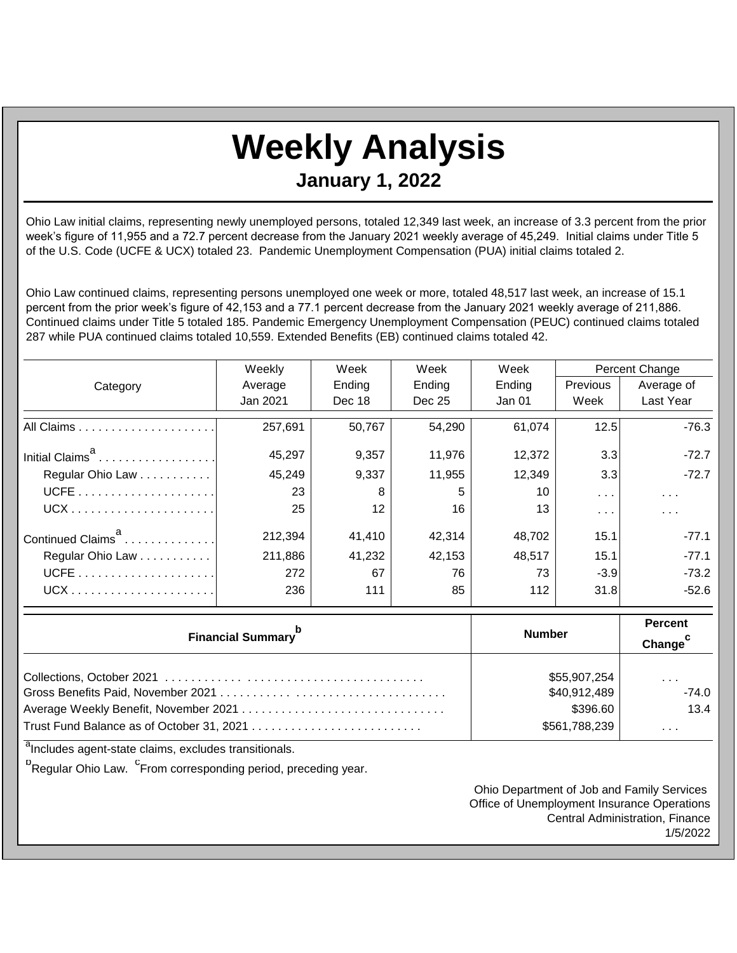## **Weekly Analysis**

**January 1, 2022**

Ohio Law initial claims, representing newly unemployed persons, totaled 12,349 last week, an increase of 3.3 percent from the prior week's figure of 11,955 and a 72.7 percent decrease from the January 2021 weekly average of 45,249. Initial claims under Title 5 of the U.S. Code (UCFE & UCX) totaled 23. Pandemic Unemployment Compensation (PUA) initial claims totaled 2.

Ohio Law continued claims, representing persons unemployed one week or more, totaled 48,517 last week, an increase of 15.1 percent from the prior week's figure of 42,153 and a 77.1 percent decrease from the January 2021 weekly average of 211,886. Continued claims under Title 5 totaled 185. Pandemic Emergency Unemployment Compensation (PEUC) continued claims totaled 287 while PUA continued claims totaled 10,559. Extended Benefits (EB) continued claims totaled 42.

|                               | Weekly   | Week            | Week   | Week   | Percent Change          |                         |
|-------------------------------|----------|-----------------|--------|--------|-------------------------|-------------------------|
| Category                      | Average  | Ending          | Ending | Ending | Previous                | Average of              |
|                               | Jan 2021 | Dec 18          | Dec 25 | Jan 01 | Week                    | Last Year               |
|                               | 257,691  | 50,767          | 54,290 | 61,074 | 12.5                    | $-76.3$                 |
| Initial Claims <sup>a</sup>   | 45,297   | 9,357           | 11,976 | 12,372 | 3.3                     | $-72.7$                 |
| Regular Ohio Law              | 45,249   | 9,337           | 11,955 | 12,349 | 3.3                     | $-72.7$                 |
|                               | 23       | 8               | 5      | 10     | $\sim 100$ km s $^{-1}$ | $\sim 100$ km s $^{-1}$ |
|                               | 25       | 12 <sup>°</sup> | 16     | 13     | $\cdots$                | $\sim$ $\sim$ $\sim$    |
| Continued Claims <sup>a</sup> | 212,394  | 41.410          | 42,314 | 48.702 | 15.1                    | $-77.1$                 |
| Regular Ohio Law              | 211,886  | 41,232          | 42,153 | 48,517 | 15.1                    | $-77.1$                 |
|                               | 272      | 67              | 76     | 73     | $-3.9$                  | $-73.2$                 |
|                               | 236      | 111             | 85     | 112    | 31.8                    | $-52.6$                 |

| <b>Financial Summary</b> <sup>p</sup> | <b>Number</b> | <b>Percent</b><br>Change <sup>c</sup> |  |
|---------------------------------------|---------------|---------------------------------------|--|
|                                       | \$55,907,254  | $\cdots$                              |  |
|                                       | \$40,912,489  | $-74.0$                               |  |
|                                       | \$396.60      | 13.4                                  |  |
|                                       | \$561,788,239 | $\cdots$                              |  |

<sup>a</sup>Includes agent-state claims, excludes transitionals.

<sup>b</sup>Regular Ohio Law. <sup>C</sup>From corresponding period, preceding year.

Ohio Department of Job and Family Services Office of Unemployment Insurance Operations Central Administration, Finance 1/5/2022